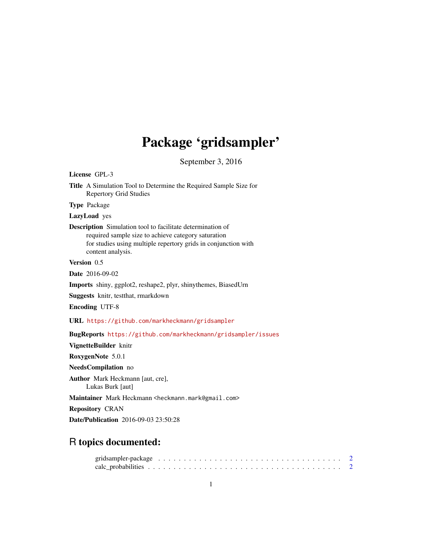# Package 'gridsampler'

September 3, 2016

<span id="page-0-0"></span>License GPL-3 Title A Simulation Tool to Determine the Required Sample Size for Repertory Grid Studies Type Package LazyLoad yes Description Simulation tool to facilitate determination of required sample size to achieve category saturation for studies using multiple repertory grids in conjunction with content analysis. Version 0.5 Date 2016-09-02 Imports shiny, ggplot2, reshape2, plyr, shinythemes, BiasedUrn Suggests knitr, testthat, rmarkdown Encoding UTF-8 URL <https://github.com/markheckmann/gridsampler> BugReports <https://github.com/markheckmann/gridsampler/issues> VignetteBuilder knitr RoxygenNote 5.0.1 NeedsCompilation no Author Mark Heckmann [aut, cre], Lukas Burk [aut] Maintainer Mark Heckmann <heckmann.mark@gmail.com> Repository CRAN Date/Publication 2016-09-03 23:50:28 R topics documented: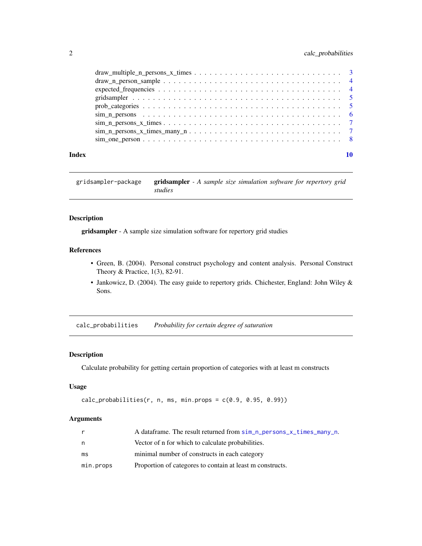# <span id="page-1-0"></span>2 calc\_probabilities

|       | $\text{draw\_multiple\_n\_ persons\_x\_times} \dots \dots \dots \dots \dots \dots \dots \dots \dots \dots \dots$ |  |
|-------|------------------------------------------------------------------------------------------------------------------|--|
|       |                                                                                                                  |  |
|       |                                                                                                                  |  |
|       |                                                                                                                  |  |
|       |                                                                                                                  |  |
|       |                                                                                                                  |  |
|       |                                                                                                                  |  |
|       |                                                                                                                  |  |
|       |                                                                                                                  |  |
|       |                                                                                                                  |  |
| Index |                                                                                                                  |  |

gridsampler-package gridsampler *- A sample size simulation software for repertory grid studies*

# Description

gridsampler - A sample size simulation software for repertory grid studies

# References

- Green, B. (2004). Personal construct psychology and content analysis. Personal Construct Theory & Practice, 1(3), 82-91.
- Jankowicz, D. (2004). The easy guide to repertory grids. Chichester, England: John Wiley & Sons.

<span id="page-1-1"></span>calc\_probabilities *Probability for certain degree of saturation*

# Description

Calculate probability for getting certain proportion of categories with at least m constructs

#### Usage

```
calc_probabilities(r, n, ms, min.props = c(0.9, 0.95, 0.99))
```
### Arguments

| r         | A dataframe. The result returned from sim_n_persons_x_times_many_n. |
|-----------|---------------------------------------------------------------------|
| n         | Vector of n for which to calculate probabilities.                   |
| ms        | minimal number of constructs in each category                       |
| min.props | Proportion of categores to contain at least m constructs.           |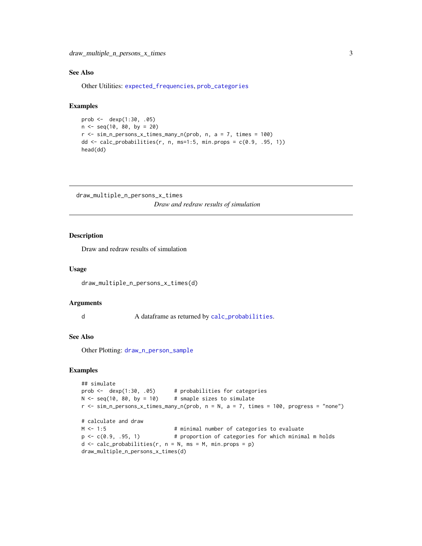# <span id="page-2-0"></span>See Also

Other Utilities: [expected\\_frequencies](#page-3-1), [prob\\_categories](#page-4-1)

# Examples

```
prob \le - dexp(1:30, .05)n < - seq(10, 80, by = 20)
r < - \sin n_{\text{persons}} \times \text{times\_many}_n (prob, n, a = 7, times = 100)
dd \leq calc_probabilities(r, n, ms=1:5, min.props = c(0.9, .95, 1))
head(dd)
```
<span id="page-2-1"></span>draw\_multiple\_n\_persons\_x\_times

*Draw and redraw results of simulation*

# Description

Draw and redraw results of simulation

#### Usage

draw\_multiple\_n\_persons\_x\_times(d)

#### Arguments

d A dataframe as returned by [calc\\_probabilities](#page-1-1).

#### See Also

Other Plotting: [draw\\_n\\_person\\_sample](#page-3-2)

#### Examples

```
## simulate
prob <- dexp(1:30, .05) # probabilities for categories
N < - seq(10, 80, by = 10) # smaple sizes to simulate
r <- sim_n_persons_x_times_many_n(prob, n = N, a = 7, times = 100, progress = "none")
# calculate and draw
M <- 1:5 + minimal number of categories to evaluate
p <- c(0.9, .95, 1) # proportion of categories for which minimal m holds
d \leq calc\_probabilities(r, n = N, ms = M, min.props = p)draw_multiple_n_persons_x_times(d)
```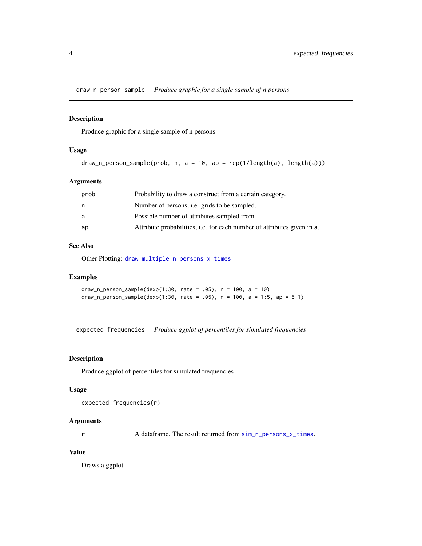<span id="page-3-2"></span><span id="page-3-0"></span>draw\_n\_person\_sample *Produce graphic for a single sample of n persons*

# Description

Produce graphic for a single sample of n persons

#### Usage

```
draw_n_person_sample(prob, n, a = 10, ap = rep(1/length(a), length(a)))
```
# Arguments

| prob | Probability to draw a construct from a certain category.                       |
|------|--------------------------------------------------------------------------------|
| n.   | Number of persons, <i>i.e.</i> grids to be sampled.                            |
| a    | Possible number of attributes sampled from.                                    |
| ap   | Attribute probabilities, <i>i.e.</i> for each number of attributes given in a. |

# See Also

Other Plotting: [draw\\_multiple\\_n\\_persons\\_x\\_times](#page-2-1)

# Examples

```
draw_n_person_sample(dexp(1:30, rate = .05), n = 100, a = 10)
draw_n_person_sample(dexp(1:30, rate = .05), n = 100, a = 1:5, ap = 5:1)
```
<span id="page-3-1"></span>expected\_frequencies *Produce ggplot of percentiles for simulated frequencies*

#### Description

Produce ggplot of percentiles for simulated frequencies

#### Usage

```
expected_frequencies(r)
```
# Arguments

r A dataframe. The result returned from [sim\\_n\\_persons\\_x\\_times](#page-6-2).

# Value

Draws a ggplot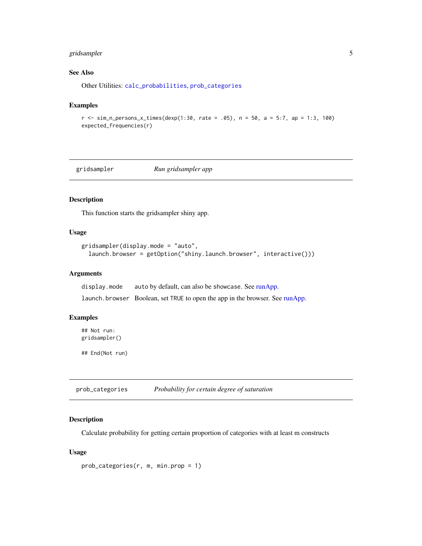# <span id="page-4-0"></span>gridsampler 5

# See Also

Other Utilities: [calc\\_probabilities](#page-1-1), [prob\\_categories](#page-4-1)

#### Examples

```
r <- sim_n_persons_x_times(dexp(1:30, rate = .05), n = 50, a = 5:7, ap = 1:3, 100)
expected_frequencies(r)
```
gridsampler *Run gridsampler app*

# Description

This function starts the gridsampler shiny app.

#### Usage

```
gridsampler(display.mode = "auto",
  launch.browser = getOption("shiny.launch.browser", interactive()))
```
# Arguments

display.mode auto by default, can also be showcase. See [runApp.](#page-0-0) launch.browser Boolean, set TRUE to open the app in the browser. See [runApp.](#page-0-0)

# Examples

## Not run: gridsampler()

## End(Not run)

<span id="page-4-1"></span>prob\_categories *Probability for certain degree of saturation*

#### Description

Calculate probability for getting certain proportion of categories with at least m constructs

#### Usage

```
prob_categories(r, m, min.prop = 1)
```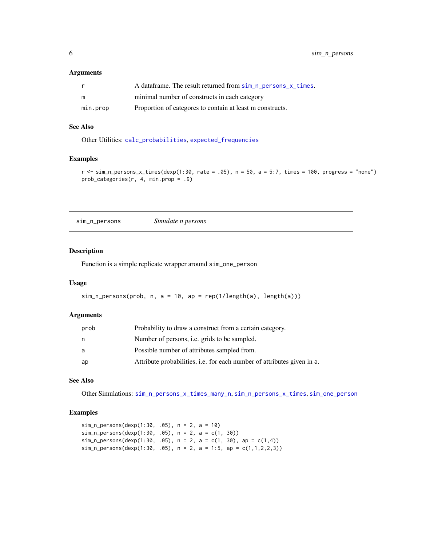#### <span id="page-5-0"></span>Arguments

|          | A dataframe. The result returned from sim_n_persons_x_times. |
|----------|--------------------------------------------------------------|
| m        | minimal number of constructs in each category                |
| min.prop | Proportion of categores to contain at least m constructs.    |

#### See Also

Other Utilities: [calc\\_probabilities](#page-1-1), [expected\\_frequencies](#page-3-1)

# Examples

```
r \leq \text{sim}_n persons_x_times(dexp(1:30, rate = .05), n = 50, a = 5:7, times = 100, progress = "none")
prob_categories(r, 4, min.prop = .9)
```
<span id="page-5-1"></span>sim\_n\_persons *Simulate n persons*

# Description

Function is a simple replicate wrapper around sim\_one\_person

# Usage

```
sim_n_{persons(prob, n, a = 10, ap = rep(1/length(a), length(a)))
```
# Arguments

| prob | Probability to draw a construct from a certain category.                |
|------|-------------------------------------------------------------------------|
| n    | Number of persons, <i>i.e.</i> grids to be sampled.                     |
| a    | Possible number of attributes sampled from.                             |
| ap   | Attribute probabilities, i.e. for each number of attributes given in a. |

#### See Also

Other Simulations: [sim\\_n\\_persons\\_x\\_times\\_many\\_n](#page-6-1), [sim\\_n\\_persons\\_x\\_times](#page-6-2), [sim\\_one\\_person](#page-7-1)

# Examples

```
sim\_n\_persons(dexp(1:30, .05), n = 2, a = 10)sim_n_persons(dexp(1:30, .05), n = 2, a = c(1, 30))
sim\_n\_persons(dexp(1:30, .05), n = 2, a = c(1, 30), ap = c(1,4))sim_n_persons(dexp(1:30, .05), n = 2, a = 1:5, ap = c(1,1,2,2,3))
```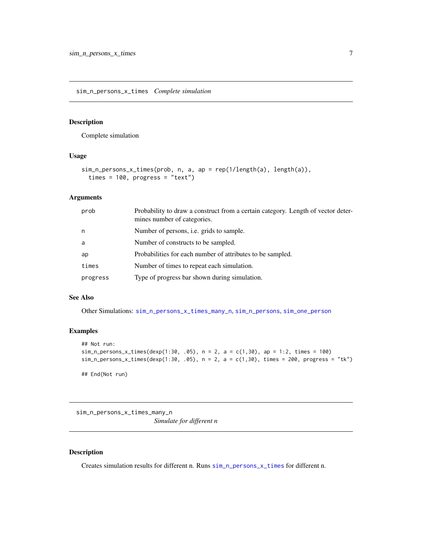<span id="page-6-2"></span><span id="page-6-0"></span>sim\_n\_persons\_x\_times *Complete simulation*

#### Description

Complete simulation

## Usage

```
sim_n_persons_x_times(prob, n, a, ap = rep(1/length(a), length(a)),
  times = 100, progress = "text")
```
# Arguments

| prob     | Probability to draw a construct from a certain category. Length of vector deter-<br>mines number of categories. |
|----------|-----------------------------------------------------------------------------------------------------------------|
| n        | Number of persons, <i>i.e.</i> grids to sample.                                                                 |
| a        | Number of constructs to be sampled.                                                                             |
| ap       | Probabilities for each number of attributes to be sampled.                                                      |
| times    | Number of times to repeat each simulation.                                                                      |
| progress | Type of progress bar shown during simulation.                                                                   |

#### See Also

Other Simulations: [sim\\_n\\_persons\\_x\\_times\\_many\\_n](#page-6-1), [sim\\_n\\_persons](#page-5-1), [sim\\_one\\_person](#page-7-1)

# Examples

```
## Not run:
sim_n_{persons_x_times(dexp(1:30, .05), n = 2, a = c(1,30), ap = 1:2, times = 100)sim_p-persons_x_times(dexp(1:30, .05), n = 2, a = c(1,30), times = 200, progress = "tk")
```
## End(Not run)

<span id="page-6-1"></span>sim\_n\_persons\_x\_times\_many\_n *Simulate for different n*

# Description

Creates simulation results for different n. Runs [sim\\_n\\_persons\\_x\\_times](#page-6-2) for different n.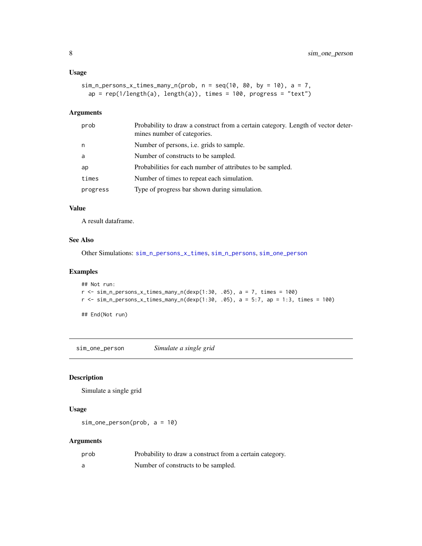#### <span id="page-7-0"></span>Usage

```
sim\_n\_persons_x_times\_many_n(prob, n = seq(10, 80, by = 10), a = 7,ap = rep(1/length(a), length(a)), time = 100, progress = "text")
```
#### Arguments

| prob     | Probability to draw a construct from a certain category. Length of vector deter-<br>mines number of categories. |
|----------|-----------------------------------------------------------------------------------------------------------------|
| n        | Number of persons, i.e. grids to sample.                                                                        |
| a        | Number of constructs to be sampled.                                                                             |
| ap       | Probabilities for each number of attributes to be sampled.                                                      |
| times    | Number of times to repeat each simulation.                                                                      |
| progress | Type of progress bar shown during simulation.                                                                   |
|          |                                                                                                                 |

# Value

A result dataframe.

# See Also

Other Simulations: [sim\\_n\\_persons\\_x\\_times](#page-6-2), [sim\\_n\\_persons](#page-5-1), [sim\\_one\\_person](#page-7-1)

# Examples

```
## Not run:
r <- sim_n_persons_x_times_many_n(dexp(1:30, .05), a = 7, times = 100)
r <- sim_n_persons_x_times_many_n(dexp(1:30, .05), a = 5:7, ap = 1:3, times = 100)
```
## End(Not run)

<span id="page-7-1"></span>sim\_one\_person *Simulate a single grid*

# Description

Simulate a single grid

# Usage

sim\_one\_person(prob, a = 10)

#### Arguments

| prob | Probability to draw a construct from a certain category. |
|------|----------------------------------------------------------|
|      | Number of constructs to be sampled.                      |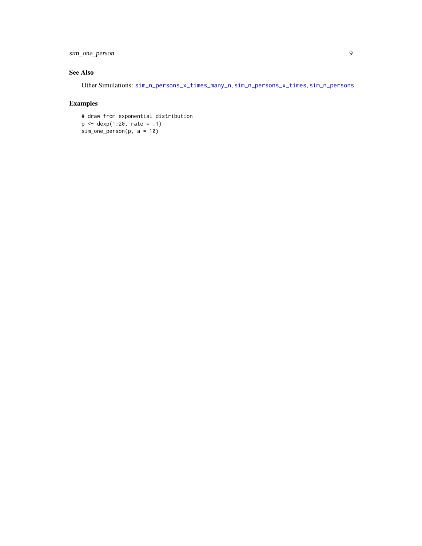<span id="page-8-0"></span>sim\_one\_person 9

# See Also

Other Simulations: [sim\\_n\\_persons\\_x\\_times\\_many\\_n](#page-6-1), [sim\\_n\\_persons\\_x\\_times](#page-6-2), [sim\\_n\\_persons](#page-5-1)

# Examples

# draw from exponential distribution p <- dexp(1:20, rate = .1) sim\_one\_person(p, a = 10)